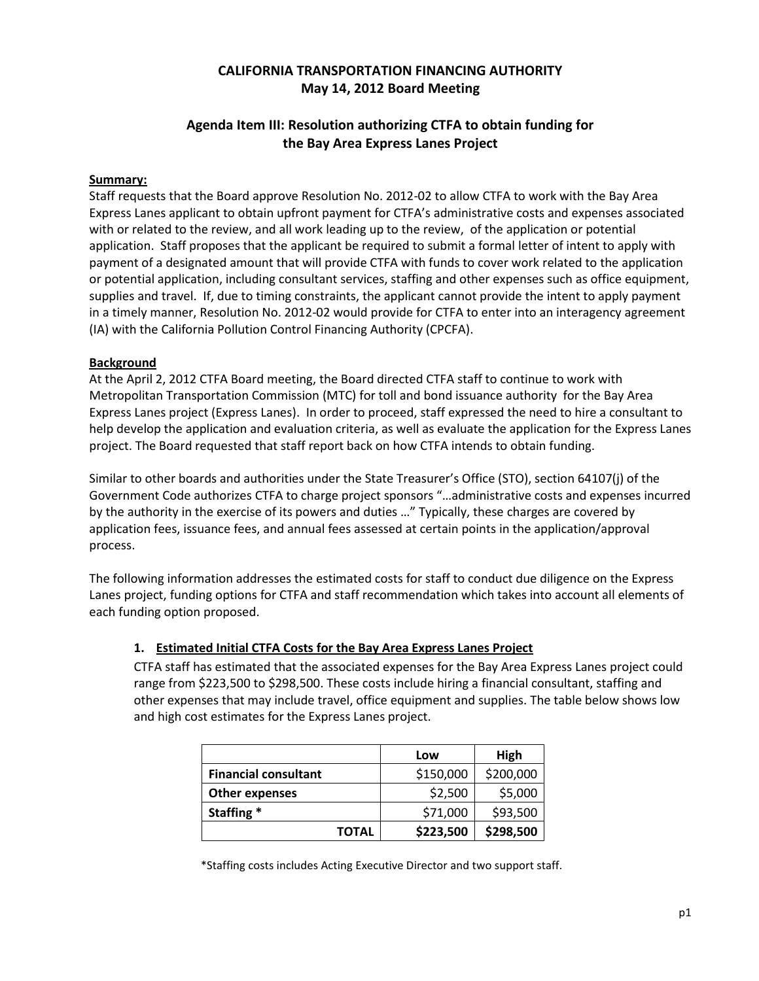# **CALIFORNIA TRANSPORTATION FINANCING AUTHORITY May 14, 2012 Board Meeting**

# **Agenda Item III: Resolution authorizing CTFA to obtain funding for the Bay Area Express Lanes Project**

#### **Summary:**

Staff requests that the Board approve Resolution No. 2012-02 to allow CTFA to work with the Bay Area Express Lanes applicant to obtain upfront payment for CTFA's administrative costs and expenses associated with or related to the review, and all work leading up to the review, of the application or potential application. Staff proposes that the applicant be required to submit a formal letter of intent to apply with payment of a designated amount that will provide CTFA with funds to cover work related to the application or potential application, including consultant services, staffing and other expenses such as office equipment, supplies and travel. If, due to timing constraints, the applicant cannot provide the intent to apply payment in a timely manner, Resolution No. 2012-02 would provide for CTFA to enter into an interagency agreement (IA) with the California Pollution Control Financing Authority (CPCFA).

#### **Background**

At the April 2, 2012 CTFA Board meeting, the Board directed CTFA staff to continue to work with Metropolitan Transportation Commission (MTC) for toll and bond issuance authority for the Bay Area Express Lanes project (Express Lanes). In order to proceed, staff expressed the need to hire a consultant to help develop the application and evaluation criteria, as well as evaluate the application for the Express Lanes project. The Board requested that staff report back on how CTFA intends to obtain funding.

Similar to other boards and authorities under the State Treasurer's Office (STO), section 64107(j) of the Government Code authorizes CTFA to charge project sponsors "…administrative costs and expenses incurred by the authority in the exercise of its powers and duties …" Typically, these charges are covered by application fees, issuance fees, and annual fees assessed at certain points in the application/approval process.

The following information addresses the estimated costs for staff to conduct due diligence on the Express Lanes project, funding options for CTFA and staff recommendation which takes into account all elements of each funding option proposed.

## **1. Estimated Initial CTFA Costs for the Bay Area Express Lanes Project**

CTFA staff has estimated that the associated expenses for the Bay Area Express Lanes project could range from \$223,500 to \$298,500. These costs include hiring a financial consultant, staffing and other expenses that may include travel, office equipment and supplies. The table below shows low and high cost estimates for the Express Lanes project.

|                             | Low       | High      |
|-----------------------------|-----------|-----------|
| <b>Financial consultant</b> | \$150,000 | \$200,000 |
| <b>Other expenses</b>       | \$2,500   | \$5,000   |
| Staffing *                  | \$71,000  | \$93,500  |
| <b>TOTAL</b>                | \$223,500 | \$298,500 |

\*Staffing costs includes Acting Executive Director and two support staff.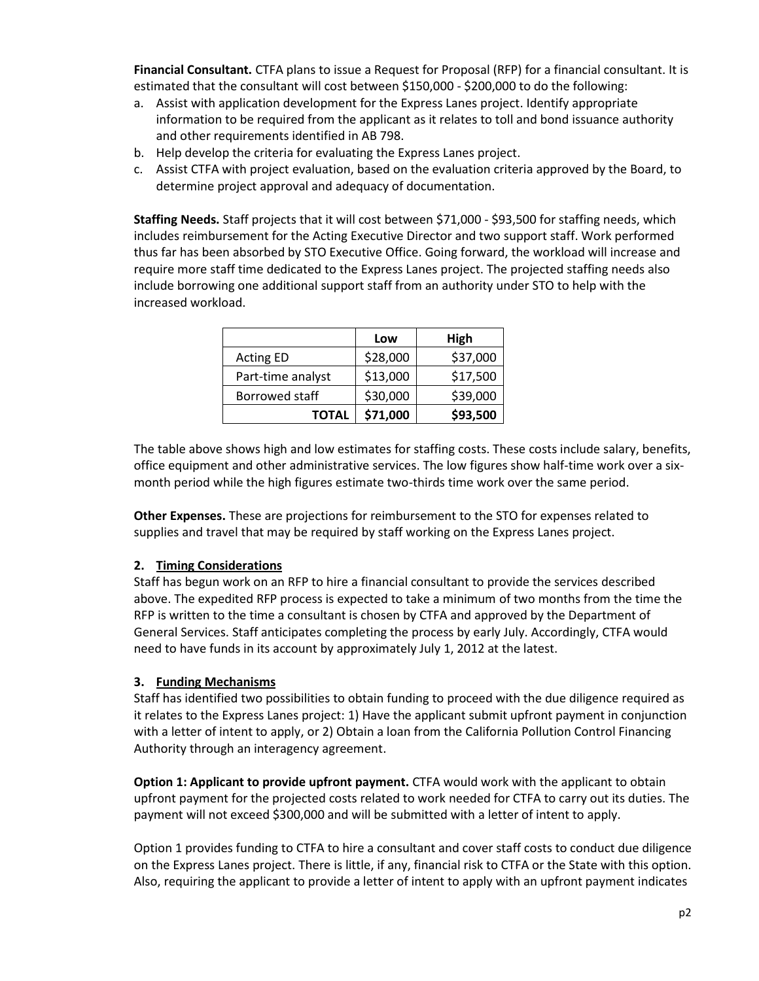**Financial Consultant.** CTFA plans to issue a Request for Proposal (RFP) for a financial consultant. It is estimated that the consultant will cost between \$150,000 - \$200,000 to do the following:

- a. Assist with application development for the Express Lanes project. Identify appropriate information to be required from the applicant as it relates to toll and bond issuance authority and other requirements identified in AB 798.
- b. Help develop the criteria for evaluating the Express Lanes project.
- c. Assist CTFA with project evaluation, based on the evaluation criteria approved by the Board, to determine project approval and adequacy of documentation.

**Staffing Needs.** Staff projects that it will cost between \$71,000 - \$93,500 for staffing needs, which includes reimbursement for the Acting Executive Director and two support staff. Work performed thus far has been absorbed by STO Executive Office. Going forward, the workload will increase and require more staff time dedicated to the Express Lanes project. The projected staffing needs also include borrowing one additional support staff from an authority under STO to help with the increased workload.

|                   | Low      | High     |
|-------------------|----------|----------|
| <b>Acting ED</b>  | \$28,000 | \$37,000 |
| Part-time analyst | \$13,000 | \$17,500 |
| Borrowed staff    | \$30,000 | \$39,000 |
| <b>TOTAL</b>      | \$71,000 | \$93,500 |

The table above shows high and low estimates for staffing costs. These costs include salary, benefits, office equipment and other administrative services. The low figures show half-time work over a sixmonth period while the high figures estimate two-thirds time work over the same period.

**Other Expenses.** These are projections for reimbursement to the STO for expenses related to supplies and travel that may be required by staff working on the Express Lanes project.

## **2. Timing Considerations**

Staff has begun work on an RFP to hire a financial consultant to provide the services described above. The expedited RFP process is expected to take a minimum of two months from the time the RFP is written to the time a consultant is chosen by CTFA and approved by the Department of General Services. Staff anticipates completing the process by early July. Accordingly, CTFA would need to have funds in its account by approximately July 1, 2012 at the latest.

## **3. Funding Mechanisms**

Staff has identified two possibilities to obtain funding to proceed with the due diligence required as it relates to the Express Lanes project: 1) Have the applicant submit upfront payment in conjunction with a letter of intent to apply, or 2) Obtain a loan from the California Pollution Control Financing Authority through an interagency agreement.

**Option 1: Applicant to provide upfront payment.** CTFA would work with the applicant to obtain upfront payment for the projected costs related to work needed for CTFA to carry out its duties. The payment will not exceed \$300,000 and will be submitted with a letter of intent to apply.

Option 1 provides funding to CTFA to hire a consultant and cover staff costs to conduct due diligence on the Express Lanes project. There is little, if any, financial risk to CTFA or the State with this option. Also, requiring the applicant to provide a letter of intent to apply with an upfront payment indicates